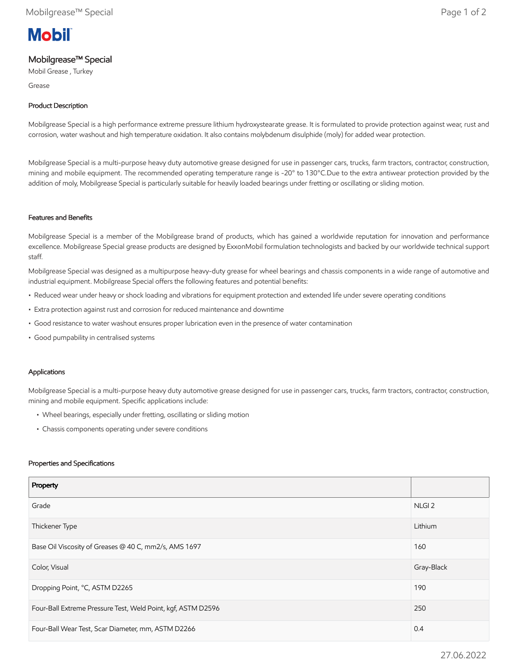# **Mobil**

## Mobilgrease™ Special

Mobil Grease , Turkey

Grease

### Product Description

Mobilgrease Special is a high performance extreme pressure lithium hydroxystearate grease. It is formulated to provide protection against wear, rust and corrosion, water washout and high temperature oxidation. It also contains molybdenum disulphide (moly) for added wear protection.

Mobilgrease Special is a multi-purpose heavy duty automotive grease designed for use in passenger cars, trucks, farm tractors, contractor, construction, mining and mobile equipment. The recommended operating temperature range is -20° to 130°C.Due to the extra antiwear protection provided by the addition of moly, Mobilgrease Special is particularly suitable for heavily loaded bearings under fretting or oscillating or sliding motion.

#### Features and Benefits

Mobilgrease Special is a member of the Mobilgrease brand of products, which has gained a worldwide reputation for innovation and performance excellence. Mobilgrease Special grease products are designed by ExxonMobil formulation technologists and backed by our worldwide technical support staff.

Mobilgrease Special was designed as a multipurpose heavy-duty grease for wheel bearings and chassis components in a wide range of automotive and industrial equipment. Mobilgrease Special offers the following features and potential benefits:

- Reduced wear under heavy or shock loading and vibrations for equipment protection and extended life under severe operating conditions
- Extra protection against rust and corrosion for reduced maintenance and downtime
- Good resistance to water washout ensures proper lubrication even in the presence of water contamination
- Good pumpability in centralised systems

#### Applications

Mobilgrease Special is a multi-purpose heavy duty automotive grease designed for use in passenger cars, trucks, farm tractors, contractor, construction, mining and mobile equipment. Specific applications include:

- Wheel bearings, especially under fretting, oscillating or sliding motion
- Chassis components operating under severe conditions

#### Properties and Specifications

| Property                                                     |                   |
|--------------------------------------------------------------|-------------------|
| Grade                                                        | NLGI <sub>2</sub> |
| Thickener Type                                               | Lithium           |
| Base Oil Viscosity of Greases @ 40 C, mm2/s, AMS 1697        | 160               |
| Color, Visual                                                | Gray-Black        |
| Dropping Point, °C, ASTM D2265                               | 190               |
| Four-Ball Extreme Pressure Test, Weld Point, kgf, ASTM D2596 | 250               |
| Four-Ball Wear Test, Scar Diameter, mm, ASTM D2266           | 0.4               |